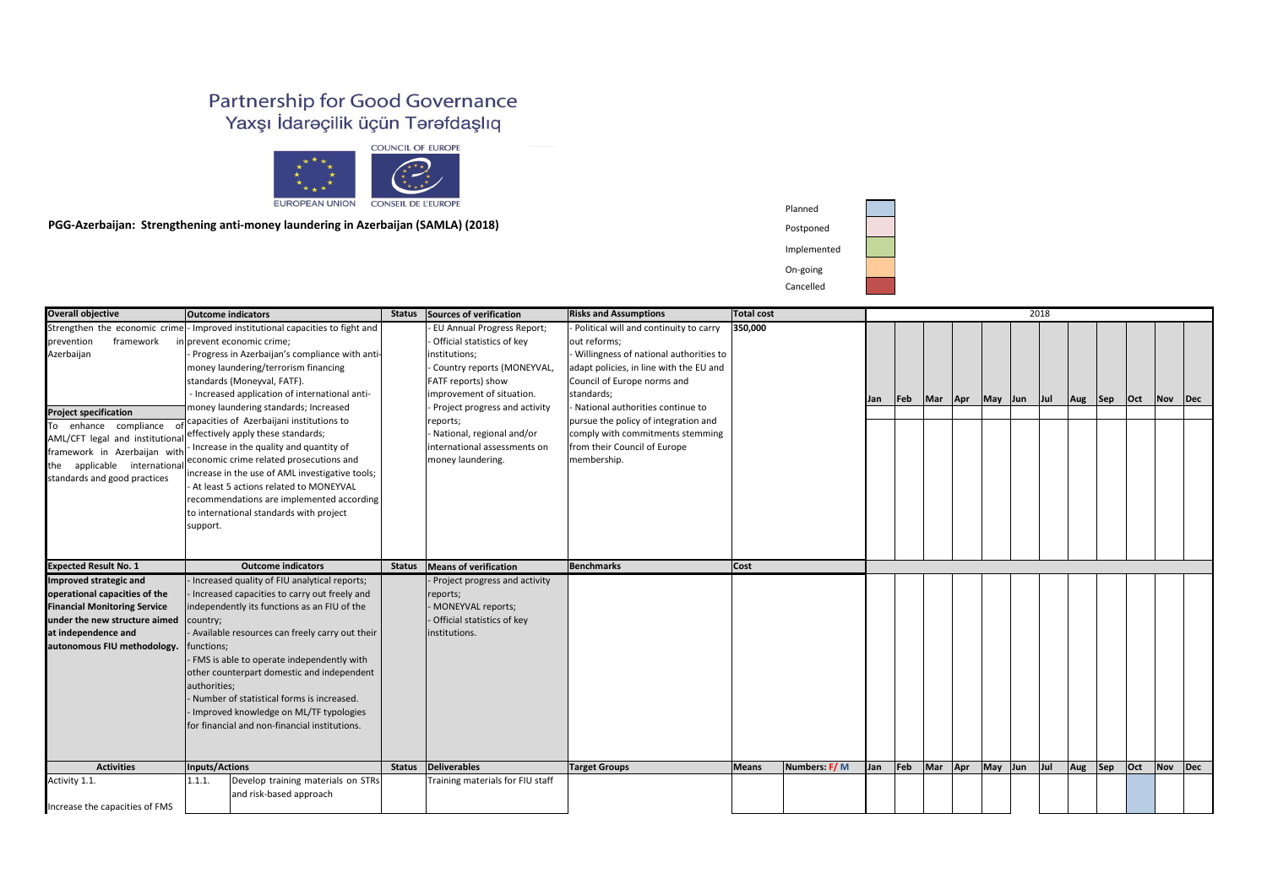Planned

Postponed

Implemen

On-going

Cancelled

## Partnership for Good Governance Yaxşı İdareçilik üçün Tərəfdaşlıq



**PGG-Azerbaijan: Strengthening anti-money laundering in Azerbaijan (SAMLA) (2018)**

| <b>Overall objective</b>                                                                                                                                                                                                          | <b>Outcome indicators</b>                                                                                                                                                                                                                                                                                                                                                                                                                                                                                                                                                                                                                                                                                    | <b>Status</b> | Sources of verification                                                                                                                                                                                                                                                                          | <b>Risks and Assumptions</b>                                                                                                                                                                                                                                                                                                                              | Total cost  |              | 2018 |               |         |            |         |  |         |                         |         |            |             |
|-----------------------------------------------------------------------------------------------------------------------------------------------------------------------------------------------------------------------------------|--------------------------------------------------------------------------------------------------------------------------------------------------------------------------------------------------------------------------------------------------------------------------------------------------------------------------------------------------------------------------------------------------------------------------------------------------------------------------------------------------------------------------------------------------------------------------------------------------------------------------------------------------------------------------------------------------------------|---------------|--------------------------------------------------------------------------------------------------------------------------------------------------------------------------------------------------------------------------------------------------------------------------------------------------|-----------------------------------------------------------------------------------------------------------------------------------------------------------------------------------------------------------------------------------------------------------------------------------------------------------------------------------------------------------|-------------|--------------|------|---------------|---------|------------|---------|--|---------|-------------------------|---------|------------|-------------|
| framework<br>prevention<br>Azerbaijan<br><b>Project specification</b><br>To enhance compliance<br>AML/CFT legal and institutional<br>framework in Azerbaijan with<br>the applicable international<br>standards and good practices | Strengthen the economic crime - Improved institutional capacities to fight and<br>in prevent economic crime;<br>Progress in Azerbaijan's compliance with anti-<br>money laundering/terrorism financing<br>standards (Moneyval, FATF).<br>- Increased application of international anti-<br>money laundering standards; Increased<br>capacities of Azerbaijani institutions to<br>effectively apply these standards;<br>- Increase in the quality and quantity of<br>economic crime related prosecutions and<br>increase in the use of AML investigative tools;<br>At least 5 actions related to MONEYVAL<br>recommendations are implemented according<br>to international standards with project<br>support. |               | <b>EU Annual Progress Report;</b><br>Official statistics of key<br>institutions;<br>Country reports (MONEYVAL,<br>FATF reports) show<br>improvement of situation.<br>Project progress and activity<br>reports;<br>National, regional and/or<br>international assessments on<br>money laundering. | Political will and continuity to carry<br>out reforms;<br>Willingness of national authorities to<br>adapt policies, in line with the EU and<br>Council of Europe norms and<br>standards;<br>- National authorities continue to<br>pursue the policy of integration and<br>comply with commitments stemming<br>from their Council of Europe<br>membership. | 350,000     |              | Jan  | $ {\sf Feb} $ | Mar     | <b>Apr</b> | May Jun |  | Jul     | Aug Sep                 | Oct     | $\sqrt{N}$ | $\vert$ Dec |
|                                                                                                                                                                                                                                   |                                                                                                                                                                                                                                                                                                                                                                                                                                                                                                                                                                                                                                                                                                              |               |                                                                                                                                                                                                                                                                                                  |                                                                                                                                                                                                                                                                                                                                                           |             |              |      |               |         |            |         |  |         |                         |         |            |             |
| <b>Expected Result No. 1</b>                                                                                                                                                                                                      | <b>Outcome indicators</b>                                                                                                                                                                                                                                                                                                                                                                                                                                                                                                                                                                                                                                                                                    |               | Status   Means of verification                                                                                                                                                                                                                                                                   | Benchmarks                                                                                                                                                                                                                                                                                                                                                | <b>Cost</b> |              |      |               |         |            |         |  |         |                         |         |            |             |
| Improved strategic and<br><b>Financial Monitoring Service</b><br>under the new structure aimed country;<br>autonomous FIU methodology.   functions;                                                                               | - Increased quality of FIU analytical reports;<br>- Increased capacities to carry out freely and<br>independently its functions as an FIU of the<br>- Available resources can freely carry out their<br>- FMS is able to operate independently with<br>other counterpart domestic and independent<br>authorities;<br>- Number of statistical forms is increased.<br>- Improved knowledge on ML/TF typologies<br>for financial and non-financial institutions.                                                                                                                                                                                                                                                |               | Project progress and activity<br>reports;<br>MONEYVAL reports;<br>Official statistics of key<br>institutions.                                                                                                                                                                                    |                                                                                                                                                                                                                                                                                                                                                           |             |              |      |               |         |            |         |  |         |                         |         |            |             |
| operational capacities of the<br>at independence and<br><b>Activities</b>                                                                                                                                                         | Inputs/Actions<br>Develop training materials on STRs                                                                                                                                                                                                                                                                                                                                                                                                                                                                                                                                                                                                                                                         | <b>Status</b> | Deliverables<br>Training materials for FIU staff                                                                                                                                                                                                                                                 | <b>Target Groups</b>                                                                                                                                                                                                                                                                                                                                      | Means       | Numbers: F/M | Jan  | $\vert$ Feb   | Mar Apr |            | May Jun |  | $ $ Jul | $\vert$ Aug $\vert$ Sep | $ $ Oct | Nov        | $\vert$ Dec |

| ited |  |
|------|--|
|      |  |
|      |  |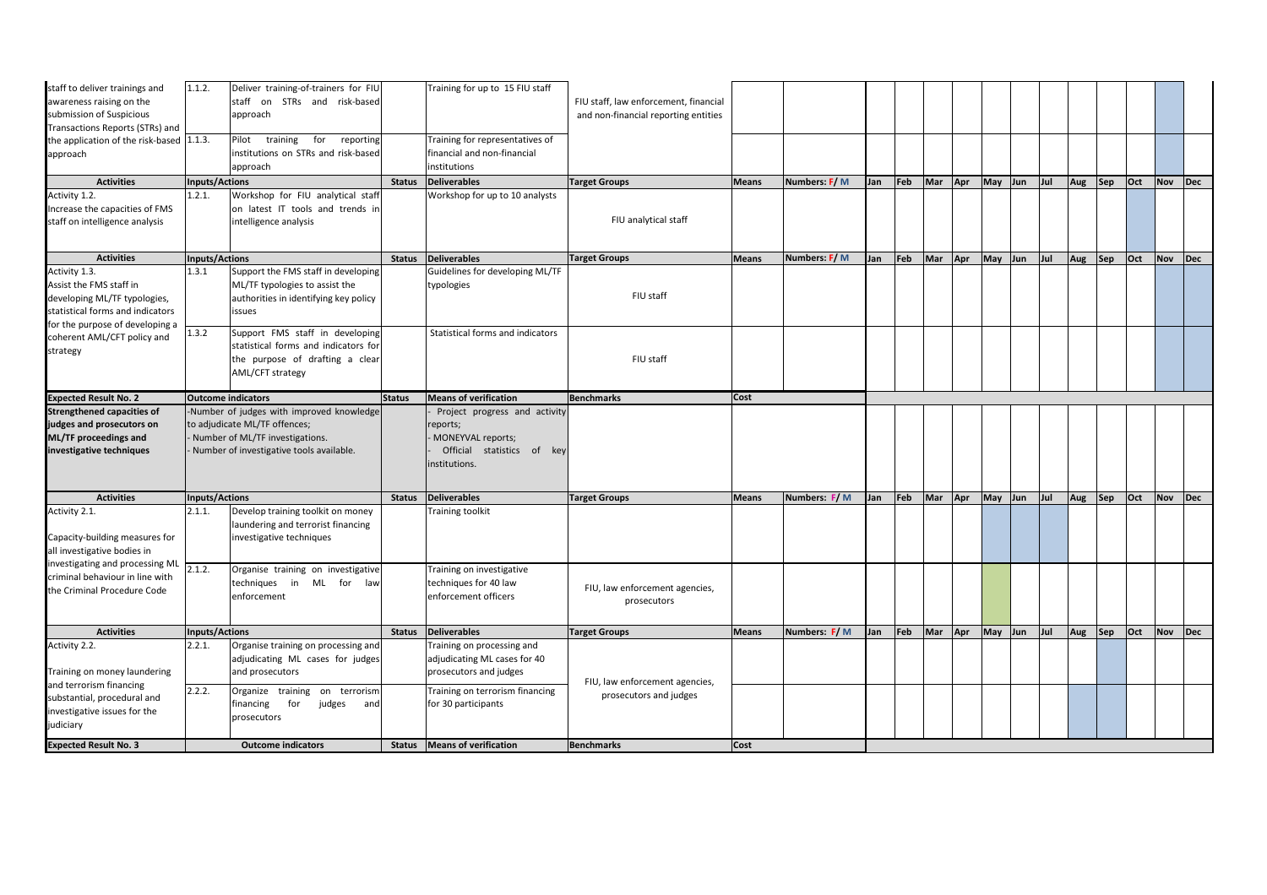| staff to deliver trainings and<br>awareness raising on the<br>submission of Suspicious<br>Transactions Reports (STRs) and                       | 1.1.2.                | Deliver training-of-trainers for FIU<br>staff on STRs and risk-based<br>approach                                                                             |               | Training for up to 15 FIU staff                                                                               | FIU staff, law enforcement, financial<br>and non-financial reporting entities |              |              |            |                               |     |                 |         |         |         |         |         |            |             |
|-------------------------------------------------------------------------------------------------------------------------------------------------|-----------------------|--------------------------------------------------------------------------------------------------------------------------------------------------------------|---------------|---------------------------------------------------------------------------------------------------------------|-------------------------------------------------------------------------------|--------------|--------------|------------|-------------------------------|-----|-----------------|---------|---------|---------|---------|---------|------------|-------------|
| the application of the risk-based 1.1.3.<br>approach                                                                                            |                       | Pilot training<br>for<br>reporting<br>institutions on STRs and risk-based<br>approach                                                                        |               | Training for representatives of<br>financial and non-financial<br>institutions                                |                                                                               |              |              |            |                               |     |                 |         |         |         |         |         |            |             |
| <b>Activities</b>                                                                                                                               | <b>Inputs/Actions</b> |                                                                                                                                                              | <b>Status</b> | <b>Deliverables</b>                                                                                           | <b>Target Groups</b>                                                          | <b>Means</b> | Numbers: F/M | <b>Jan</b> | $\left  \mathsf{Feb} \right $ | Mar | Apr May Jun     |         | $ $ Jul | Aug Sep |         | $ $ Oct | Nov Dec    |             |
| Activity 1.2.<br>Increase the capacities of FMS<br>staff on intelligence analysis                                                               | 1.2.1.                | Workshop for FIU analytical staff<br>on latest IT tools and trends in<br>intelligence analysis                                                               |               | Workshop for up to 10 analysts                                                                                | FIU analytical staff                                                          |              |              |            |                               |     |                 |         |         |         |         |         |            |             |
| <b>Activities</b>                                                                                                                               | <b>Inputs/Actions</b> |                                                                                                                                                              | <b>Status</b> | Deliverables                                                                                                  | <b>Target Groups</b>                                                          | <b>Means</b> | Numbers: F/M | Jan        | Feb                           |     | Mar Apr May Jun |         | $ $ Jul | Aug     | Sep     | $ $ Oct | <b>Nov</b> | $\vert$ Dec |
| Activity 1.3.<br>Assist the FMS staff in<br>developing ML/TF typologies,<br>statistical forms and indicators<br>for the purpose of developing a | 1.3.1                 | Support the FMS staff in developing<br>ML/TF typologies to assist the<br>authorities in identifying key policy<br><i>issues</i>                              |               | Guidelines for developing ML/TF<br>typologies                                                                 | FIU staff                                                                     |              |              |            |                               |     |                 |         |         |         |         |         |            |             |
| coherent AML/CFT policy and<br>strategy                                                                                                         | 1.3.2                 | Support FMS staff in developing<br>statistical forms and indicators for<br>the purpose of drafting a clear<br>AML/CFT strategy                               |               | Statistical forms and indicators                                                                              | FIU staff                                                                     |              |              |            |                               |     |                 |         |         |         |         |         |            |             |
| <b>Expected Result No. 2</b>                                                                                                                    |                       | <b>Outcome indicators</b>                                                                                                                                    | Status        | Means of verification                                                                                         | Benchmarks                                                                    | <b>Cost</b>  |              |            |                               |     |                 |         |         |         |         |         |            |             |
| <b>Strengthened capacities of</b><br>judges and prosecutors on<br><b>ML/TF proceedings and</b><br>investigative techniques                      |                       | Number of judges with improved knowledge<br>to adjudicate ML/TF offences;<br>- Number of ML/TF investigations.<br>- Number of investigative tools available. |               | Project progress and activity<br>reports;<br>MONEYVAL reports;<br>Official statistics of key<br>institutions. |                                                                               |              |              |            |                               |     |                 |         |         |         |         |         |            |             |
| <b>Activities</b>                                                                                                                               | <b>Inputs/Actions</b> |                                                                                                                                                              | <b>Status</b> | Deliverables                                                                                                  | <b>Target Groups</b>                                                          | Means        | Numbers: F/M | Jan        | Feb                           |     | Mar Apr May Jun |         | $ $ Jul | Aug Sep |         | $ $ Oct | Nov        | $\vert$ Dec |
| Activity 2.1.<br>Capacity-building measures for<br>all investigative bodies in                                                                  | 2.1.1.                | Develop training toolkit on money<br>laundering and terrorist financing<br>investigative techniques                                                          |               | <b>Training toolkit</b>                                                                                       |                                                                               |              |              |            |                               |     |                 |         |         |         |         |         |            |             |
| investigating and processing ML<br>criminal behaviour in line with<br>the Criminal Procedure Code                                               | 2.1.2.                | Organise training on investigative<br>techniques in ML for law<br>enforcement                                                                                |               | Training on investigative<br>techniques for 40 law<br>enforcement officers                                    | FIU, law enforcement agencies,<br>prosecutors                                 |              |              |            |                               |     |                 |         |         |         |         |         |            |             |
| <b>Activities</b>                                                                                                                               | <b>Inputs/Actions</b> |                                                                                                                                                              | <b>Status</b> | <b>Deliverables</b>                                                                                           | <b>Target Groups</b>                                                          | <b>Means</b> | Numbers: F/M | Jan        | Feb                           | Mar | Apr             | May Jun | $ $ Jul | Aug     | $ $ Sep | $ $ Oct | Nov        | $\vert$ Dec |
| Activity 2.2.<br>Training on money laundering                                                                                                   | 2.2.1.                | Organise training on processing and<br>adjudicating ML cases for judges<br>and prosecutors                                                                   |               | Training on processing and<br>adjudicating ML cases for 40<br>prosecutors and judges                          | FIU, law enforcement agencies,                                                |              |              |            |                               |     |                 |         |         |         |         |         |            |             |
| and terrorism financing<br>substantial, procedural and<br>investigative issues for the<br>judiciary                                             | 2.2.2.                | Organize training<br>on terrorism<br>for<br>judges<br>financing<br>and<br>prosecutors                                                                        |               | Training on terrorism financing<br>for 30 participants                                                        | prosecutors and judges                                                        |              |              |            |                               |     |                 |         |         |         |         |         |            |             |
| <b>Expected Result No. 3</b>                                                                                                                    |                       | <b>Outcome indicators</b>                                                                                                                                    |               | Status   Means of verification                                                                                | <b>Benchmarks</b>                                                             | <b>Cost</b>  |              |            |                               |     |                 |         |         |         |         |         |            |             |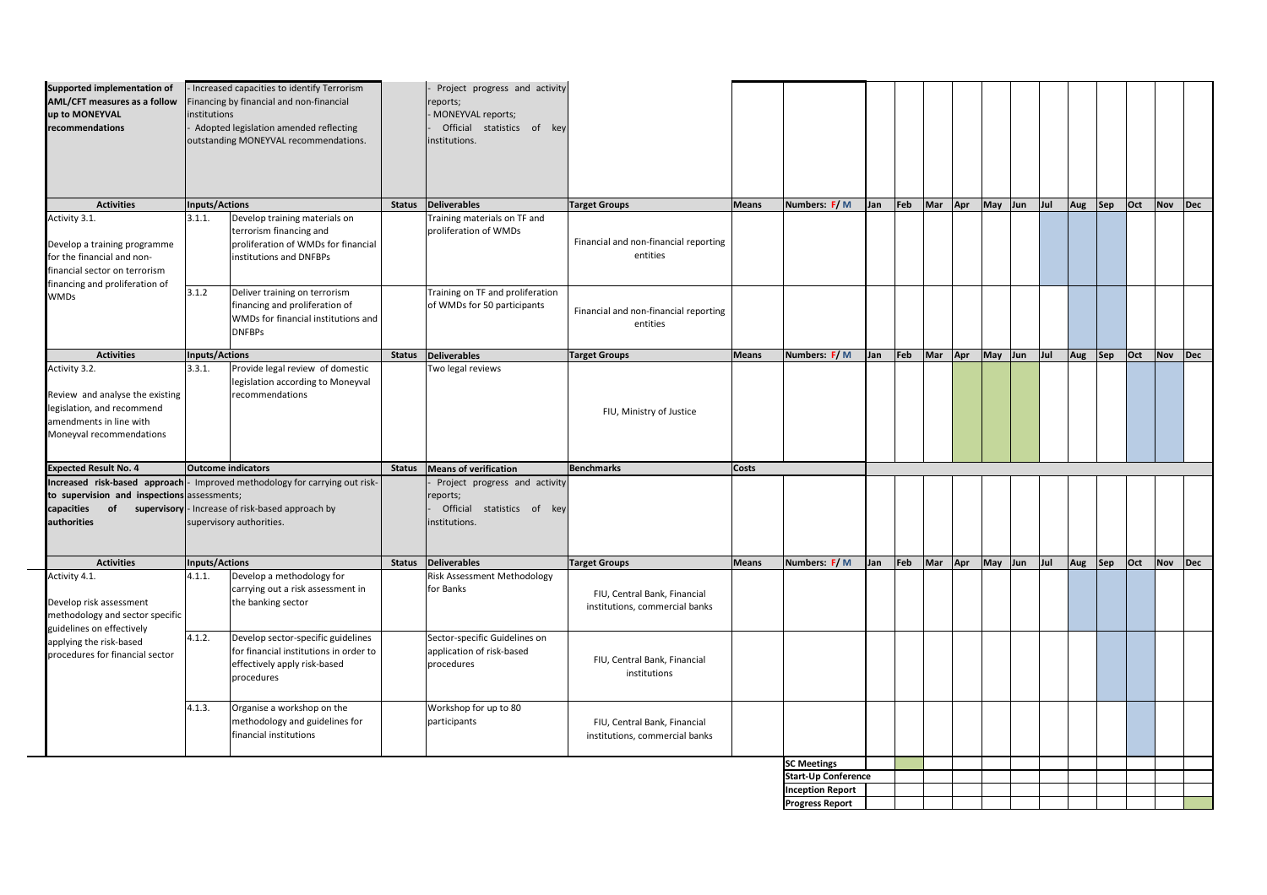| <b>Supported implementation of</b><br><b>AML/CFT measures as a follow</b><br>up to MONEYVAL<br>recommendations                                 | institutions          | - Increased capacities to identify Terrorism<br>Financing by financial and non-financial<br>Adopted legislation amended reflecting<br>outstanding MONEYVAL recommendations. |               | Project progress and activity<br>reports;<br>MONEYVAL reports;<br>Official statistics of key<br>institutions. |                                                                |              |                            |     |                               |         |              |                 |         |     |         |         |         |             |
|------------------------------------------------------------------------------------------------------------------------------------------------|-----------------------|-----------------------------------------------------------------------------------------------------------------------------------------------------------------------------|---------------|---------------------------------------------------------------------------------------------------------------|----------------------------------------------------------------|--------------|----------------------------|-----|-------------------------------|---------|--------------|-----------------|---------|-----|---------|---------|---------|-------------|
| <b>Activities</b>                                                                                                                              | Inputs/Actions        |                                                                                                                                                                             | <b>Status</b> | Deliverables                                                                                                  | <b>Target Groups</b>                                           | Means        | Numbers: F/M               | Jan | $\vert$ Feb                   | Mar Apr |              | May Jun         | $ $ Jul | Aug | Sep     | $ $ Oct | Nov     | $\vert$ Dec |
| Activity 3.1.<br>Develop a training programme<br>for the financial and non-<br>financial sector on terrorism<br>financing and proliferation of | 3.1.1.                | Develop training materials on<br>terrorism financing and<br>proliferation of WMDs for financial<br>institutions and DNFBPs                                                  |               | Training materials on TF and<br>proliferation of WMDs                                                         | Financial and non-financial reporting<br>entities              |              |                            |     |                               |         |              |                 |         |     |         |         |         |             |
| <b>WMDs</b>                                                                                                                                    | 3.1.2                 | Deliver training on terrorism<br>financing and proliferation of<br>WMDs for financial institutions and<br><b>DNFBPs</b>                                                     |               | Training on TF and proliferation<br>of WMDs for 50 participants                                               | Financial and non-financial reporting<br>entities              |              |                            |     |                               |         |              |                 |         |     |         |         |         |             |
| <b>Activities</b>                                                                                                                              | <b>Inputs/Actions</b> |                                                                                                                                                                             | <b>Status</b> | Deliverables                                                                                                  | <b>Target Groups</b>                                           | Means        | Numbers: F/M               | Jan | $\vert$ Feb                   | Mar     | $\sqrt{Apr}$ | May Jun         | $ $ Jul | Aug | Sep     | $ $ Oct | Nov Dec |             |
| Activity 3.2.<br>Review and analyse the existing<br>legislation, and recommend<br>amendments in line with<br>Moneyval recommendations          | 3.3.1.                | Provide legal review of domestic<br>legislation according to Moneyval<br>recommendations                                                                                    |               | Two legal reviews                                                                                             | FIU, Ministry of Justice                                       |              |                            |     |                               |         |              |                 |         |     |         |         |         |             |
| <b>Expected Result No. 4</b>                                                                                                                   |                       | <b>Outcome indicators</b>                                                                                                                                                   | <b>Status</b> | Means of verification                                                                                         | Benchmarks                                                     | <b>Costs</b> |                            |     |                               |         |              |                 |         |     |         |         |         |             |
| to supervision and inspections assessments;<br>capacities<br>of<br>authorities                                                                 |                       | <b>Increased risk-based approach</b> - Improved methodology for carrying out risk-<br>supervisory  - Increase of risk-based approach by<br>supervisory authorities.         |               | Project progress and activity<br>reports;<br>Official<br>statistics of key<br>institutions.                   |                                                                |              |                            |     |                               |         |              |                 |         |     |         |         |         |             |
| <b>Activities</b>                                                                                                                              | <b>Inputs/Actions</b> |                                                                                                                                                                             | <b>Status</b> | Deliverables                                                                                                  | <b>Target Groups</b>                                           | Means        | Numbers: F/M               | Jan | $\left  \mathsf{Feb} \right $ |         |              | Mar Apr May Jun | $ $ Jul |     | Aug Sep | $ $ Oct | Nov Dec |             |
| Activity 4.1.<br>Develop risk assessment<br>methodology and sector specific                                                                    | 4.1.1.                | Develop a methodology for<br>carrying out a risk assessment in<br>the banking sector                                                                                        |               | <b>Risk Assessment Methodology</b><br>for Banks                                                               | FIU, Central Bank, Financial<br>institutions, commercial banks |              |                            |     |                               |         |              |                 |         |     |         |         |         |             |
| guidelines on effectively<br>applying the risk-based<br>procedures for financial sector                                                        | 4.1.2.                | Develop sector-specific guidelines<br>for financial institutions in order to<br>effectively apply risk-based<br>procedures                                                  |               | Sector-specific Guidelines on<br>application of risk-based<br>procedures                                      | FIU, Central Bank, Financial<br>institutions                   |              |                            |     |                               |         |              |                 |         |     |         |         |         |             |
|                                                                                                                                                | 4.1.3.                | Organise a workshop on the<br>methodology and guidelines for<br>financial institutions                                                                                      |               | Workshop for up to 80<br>participants                                                                         | FIU, Central Bank, Financial<br>institutions, commercial banks |              |                            |     |                               |         |              |                 |         |     |         |         |         |             |
|                                                                                                                                                |                       |                                                                                                                                                                             |               |                                                                                                               |                                                                |              | <b>SC Meetings</b>         |     |                               |         |              |                 |         |     |         |         |         |             |
|                                                                                                                                                |                       |                                                                                                                                                                             |               |                                                                                                               |                                                                |              | <b>Start-Up Conference</b> |     |                               |         |              |                 |         |     |         |         |         |             |
|                                                                                                                                                |                       |                                                                                                                                                                             |               |                                                                                                               |                                                                |              | <b>Inception Report</b>    |     |                               |         |              |                 |         |     |         |         |         |             |
|                                                                                                                                                |                       |                                                                                                                                                                             |               |                                                                                                               |                                                                |              | <b>Progress Report</b>     |     |                               |         |              |                 |         |     |         |         |         |             |